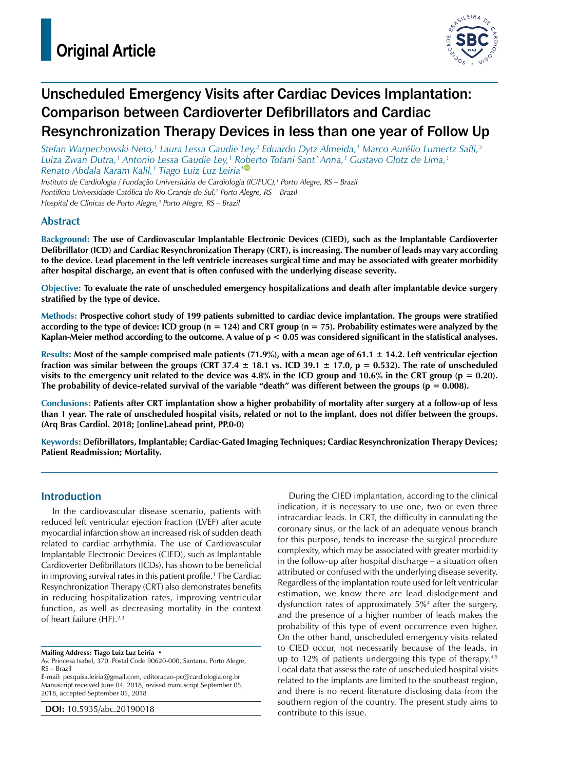

# Unscheduled Emergency Visits after Cardiac Devices Implantation: Comparison between Cardioverter Defibrillators and Cardiac Resynchronization Therapy Devices in less than one year of Follow Up

*Stefan Warpechowski Neto,1 Laura Lessa Gaudie Ley,2 Eduardo Dytz Almeida,1 Marco Aurélio Lumertz Saffi,3 Luiza Zwan Dutra,1 Antonio Lessa Gaudie Ley,1 R[obe](https://orcid.org/0000-0002-3905-102X)rto Tofani Sant`Anna,1 Gustavo Glotz de Lima,1 Renato Abdala Karam Kalil,1 Tiago Luiz Luz Leiria1*

*Instituto de Cardiologia / Fundação Universitária de Cardiologia (IC/FUC),1 Porto Alegre, RS – Brazil Pontifícia Universidade Católica do Rio Grande do Sul,2 Porto Alegre, RS – Brazil Hospital de Clínicas de Porto Alegre,3 Porto Alegre, RS – Brazil*

## **Abstract**

**Background: The use of Cardiovascular Implantable Electronic Devices (CIED), such as the Implantable Cardioverter Defibrillator (ICD) and Cardiac Resynchronization Therapy (CRT), is increasing. The number of leads may vary according to the device. Lead placement in the left ventricle increases surgical time and may be associated with greater morbidity after hospital discharge, an event that is often confused with the underlying disease severity.**

**Objective: To evaluate the rate of unscheduled emergency hospitalizations and death after implantable device surgery stratified by the type of device.**

**Methods: Prospective cohort study of 199 patients submitted to cardiac device implantation. The groups were stratified according to the type of device: ICD group (n = 124) and CRT group (n = 75). Probability estimates were analyzed by the Kaplan-Meier method according to the outcome. A value of p < 0.05 was considered significant in the statistical analyses.**

**Results: Most of the sample comprised male patients (71.9%), with a mean age of 61.1 ± 14.2. Left ventricular ejection fraction was similar between the groups (CRT 37.4 ± 18.1 vs. ICD 39.1 ± 17.0, p = 0.532). The rate of unscheduled visits to the emergency unit related to the device was 4.8% in the ICD group and 10.6% in the CRT group (p = 0.20). The probability of device-related survival of the variable "death" was different between the groups (p = 0.008).**

**Conclusions: Patients after CRT implantation show a higher probability of mortality after surgery at a follow-up of less than 1 year. The rate of unscheduled hospital visits, related or not to the implant, does not differ between the groups. (Arq Bras Cardiol. 2018; [online].ahead print, PP.0-0)**

**Keywords: Defibrillators, Implantable; Cardiac-Gated Imaging Techniques; Cardiac Resynchronization Therapy Devices; Patient Readmission; Mortality.**

### Introduction

In the cardiovascular disease scenario, patients with reduced left ventricular ejection fraction (LVEF) after acute myocardial infarction show an increased risk of sudden death related to cardiac arrhythmia. The use of Cardiovascular Implantable Electronic Devices (CIED), such as Implantable Cardioverter Defibrillators (ICDs), has shown to be beneficial in improving survival rates in this patient profile.1 The Cardiac Resynchronization Therapy (CRT) also demonstrates benefits in reducing hospitalization rates, improving ventricular function, as well as decreasing mortality in the context of heart failure (HF).<sup>2,3</sup>

**Mailing Address: Tiago Luiz Luz Leiria •**

E-mail: [pesquisa.leiria@gmail.com](mailto:pesquisa.leiria@gmail.com), [editoracao-pc@cardiologia.org.br](mailto:editoracao-pc@cardiologia.org.br) Manuscript received June 04, 2018, revised manuscript September 05, 2018, accepted September 05, 2018

**DOI:** 10.5935/abc.20190018

During the CIED implantation, according to the clinical indication, it is necessary to use one, two or even three intracardiac leads. In CRT, the difficulty in cannulating the coronary sinus, or the lack of an adequate venous branch for this purpose, tends to increase the surgical procedure complexity, which may be associated with greater morbidity in the follow-up after hospital discharge – a situation often attributed or confused with the underlying disease severity. Regardless of the implantation route used for left ventricular estimation, we know there are lead dislodgement and dysfunction rates of approximately 5%4 after the surgery, and the presence of a higher number of leads makes the probability of this type of event occurrence even higher. On the other hand, unscheduled emergency visits related to CIED occur, not necessarily because of the leads, in up to 12% of patients undergoing this type of therapy.4,5 Local data that assess the rate of unscheduled hospital visits related to the implants are limited to the southeast region, and there is no recent literature disclosing data from the southern region of the country. The present study aims to contribute to this issue.

Av. Princesa Isabel, 370. Postal Code 90620-000, Santana. Porto Alegre, RS – Brazil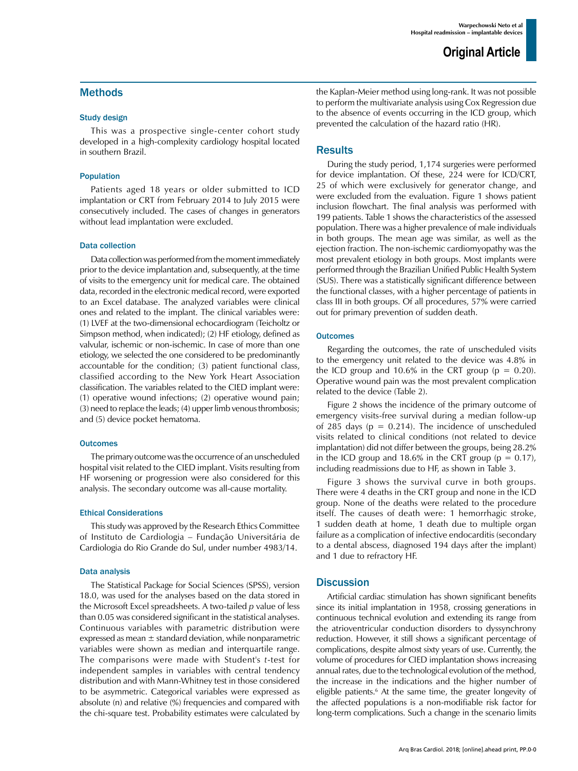## Methods

#### Study design

This was a prospective single-center cohort study developed in a high-complexity cardiology hospital located in southern Brazil.

#### Population

Patients aged 18 years or older submitted to ICD implantation or CRT from February 2014 to July 2015 were consecutively included. The cases of changes in generators without lead implantation were excluded.

#### Data collection

Data collection was performed from the moment immediately prior to the device implantation and, subsequently, at the time of visits to the emergency unit for medical care. The obtained data, recorded in the electronic medical record, were exported to an Excel database. The analyzed variables were clinical ones and related to the implant. The clinical variables were: (1) LVEF at the two-dimensional echocardiogram (Teicholtz or Simpson method, when indicated); (2) HF etiology, defined as valvular, ischemic or non-ischemic. In case of more than one etiology, we selected the one considered to be predominantly accountable for the condition; (3) patient functional class, classified according to the New York Heart Association classification. The variables related to the CIED implant were: (1) operative wound infections; (2) operative wound pain; (3) need to replace the leads; (4) upper limb venous thrombosis; and (5) device pocket hematoma.

#### **Outcomes**

The primary outcome was the occurrence of an unscheduled hospital visit related to the CIED implant. Visits resulting from HF worsening or progression were also considered for this analysis. The secondary outcome was all-cause mortality.

#### Ethical Considerations

This study was approved by the Research Ethics Committee of Instituto de Cardiologia – Fundação Universitária de Cardiologia do Rio Grande do Sul, under number 4983/14.

#### Data analysis

The Statistical Package for Social Sciences (SPSS), version 18.0, was used for the analyses based on the data stored in the Microsoft Excel spreadsheets. A two-tailed *p* value of less than 0.05 was considered significant in the statistical analyses. Continuous variables with parametric distribution were expressed as mean  $\pm$  standard deviation, while nonparametric variables were shown as median and interquartile range. The comparisons were made with Student's *t*-test for independent samples in variables with central tendency distribution and with Mann-Whitney test in those considered to be asymmetric. Categorical variables were expressed as absolute (n) and relative (%) frequencies and compared with the chi-square test. Probability estimates were calculated by the Kaplan-Meier method using long-rank. It was not possible to perform the multivariate analysis using Cox Regression due to the absence of events occurring in the ICD group, which prevented the calculation of the hazard ratio (HR).

## **Results**

During the study period, 1,174 surgeries were performed for device implantation. Of these, 224 were for ICD/CRT, 25 of which were exclusively for generator change, and were excluded from the evaluation. Figure 1 shows patient inclusion flowchart. The final analysis was performed with 199 patients. Table 1 shows the characteristics of the assessed population. There was a higher prevalence of male individuals in both groups. The mean age was similar, as well as the ejection fraction. The non-ischemic cardiomyopathy was the most prevalent etiology in both groups. Most implants were performed through the Brazilian Unified Public Health System (SUS). There was a statistically significant difference between the functional classes, with a higher percentage of patients in class III in both groups. Of all procedures, 57% were carried out for primary prevention of sudden death.

#### **Outcomes**

Regarding the outcomes, the rate of unscheduled visits to the emergency unit related to the device was 4.8% in the ICD group and 10.6% in the CRT group ( $p = 0.20$ ). Operative wound pain was the most prevalent complication related to the device (Table 2).

Figure 2 shows the incidence of the primary outcome of emergency visits-free survival during a median follow-up of 285 days ( $p = 0.214$ ). The incidence of unscheduled visits related to clinical conditions (not related to device implantation) did not differ between the groups, being 28.2% in the ICD group and 18.6% in the CRT group ( $p = 0.17$ ), including readmissions due to HF, as shown in Table 3.

Figure 3 shows the survival curve in both groups. There were 4 deaths in the CRT group and none in the ICD group. None of the deaths were related to the procedure itself. The causes of death were: 1 hemorrhagic stroke, 1 sudden death at home, 1 death due to multiple organ failure as a complication of infective endocarditis (secondary to a dental abscess, diagnosed 194 days after the implant) and 1 due to refractory HF.

### **Discussion**

Artificial cardiac stimulation has shown significant benefits since its initial implantation in 1958, crossing generations in continuous technical evolution and extending its range from the atrioventricular conduction disorders to dyssynchrony reduction. However, it still shows a significant percentage of complications, despite almost sixty years of use. Currently, the volume of procedures for CIED implantation shows increasing annual rates, due to the technological evolution of the method, the increase in the indications and the higher number of eligible patients.<sup>6</sup> At the same time, the greater longevity of the affected populations is a non-modifiable risk factor for long-term complications. Such a change in the scenario limits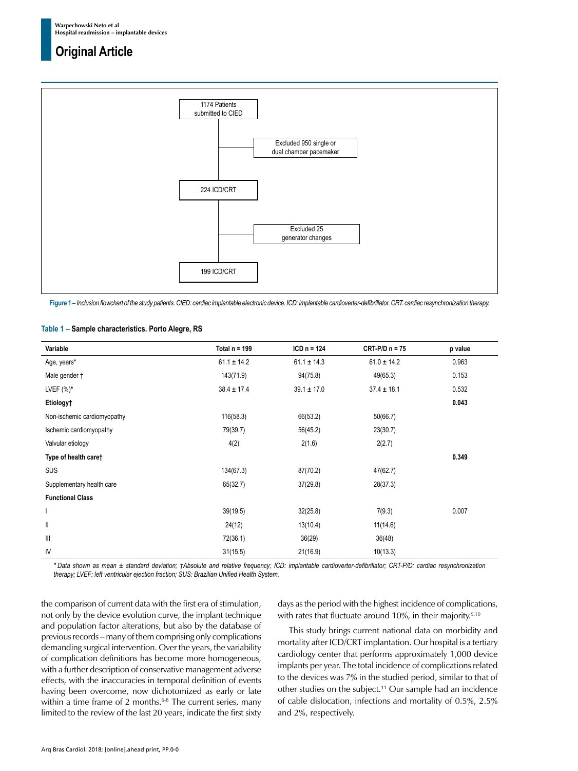

**Figure 1 –** *Inclusion flowchart of the study patients. CIED: cardiac implantable electronic device. ICD: implantable cardioverter-defibrillator. CRT: cardiac resynchronization therapy.*

#### **Table 1 – Sample characteristics. Porto Alegre, RS**

| Variable                              | Total $n = 199$ | $ICD n = 124$   | $CRT-P/D n = 75$ | p value |
|---------------------------------------|-----------------|-----------------|------------------|---------|
| Age, years*                           | $61.1 \pm 14.2$ | $61.1 \pm 14.3$ | $61.0 \pm 14.2$  | 0.963   |
| Male gender †                         | 143(71.9)       | 94(75.8)        | 49(65.3)         | 0.153   |
| LVEF $(\%)^*$                         | $38.4 \pm 17.4$ | $39.1 \pm 17.0$ | $37.4 \pm 18.1$  | 0.532   |
| Etiology†                             |                 |                 |                  | 0.043   |
| Non-ischemic cardiomyopathy           | 116(58.3)       | 66(53.2)        | 50(66.7)         |         |
| Ischemic cardiomyopathy               | 79(39.7)        | 56(45.2)        | 23(30.7)         |         |
| Valvular etiology                     | 4(2)            | 2(1.6)          | 2(2.7)           |         |
| Type of health care†                  |                 |                 |                  | 0.349   |
| <b>SUS</b>                            | 134(67.3)       | 87(70.2)        | 47(62.7)         |         |
| Supplementary health care             | 65(32.7)        | 37(29.8)        | 28(37.3)         |         |
| <b>Functional Class</b>               |                 |                 |                  |         |
| T                                     | 39(19.5)        | 32(25.8)        | 7(9.3)           | 0.007   |
| $\mathsf{I}$                          | 24(12)          | 13(10.4)        | 11(14.6)         |         |
| $\begin{array}{c} \hline \end{array}$ | 72(36.1)        | 36(29)          | 36(48)           |         |
| IV                                    | 31(15.5)        | 21(16.9)        | 10(13.3)         |         |

*\* Data shown as mean ± standard deviation; †Absolute and relative frequency; ICD: implantable cardioverter-defibrillator; CRT-P/D: cardiac resynchronization therapy; LVEF: left ventricular ejection fraction; SUS: Brazilian Unified Health System.*

the comparison of current data with the first era of stimulation, not only by the device evolution curve, the implant technique and population factor alterations, but also by the database of previous records – many of them comprising only complications demanding surgical intervention. Over the years, the variability of complication definitions has become more homogeneous, with a further description of conservative management adverse effects, with the inaccuracies in temporal definition of events having been overcome, now dichotomized as early or late within a time frame of 2 months. $6-8$  The current series, many limited to the review of the last 20 years, indicate the first sixty days as the period with the highest incidence of complications, with rates that fluctuate around 10%, in their majority.<sup>9,10</sup>

This study brings current national data on morbidity and mortality after ICD/CRT implantation. Our hospital is a tertiary cardiology center that performs approximately 1,000 device implants per year. The total incidence of complications related to the devices was 7% in the studied period, similar to that of other studies on the subject.<sup>11</sup> Our sample had an incidence of cable dislocation, infections and mortality of 0.5%, 2.5% and 2%, respectively.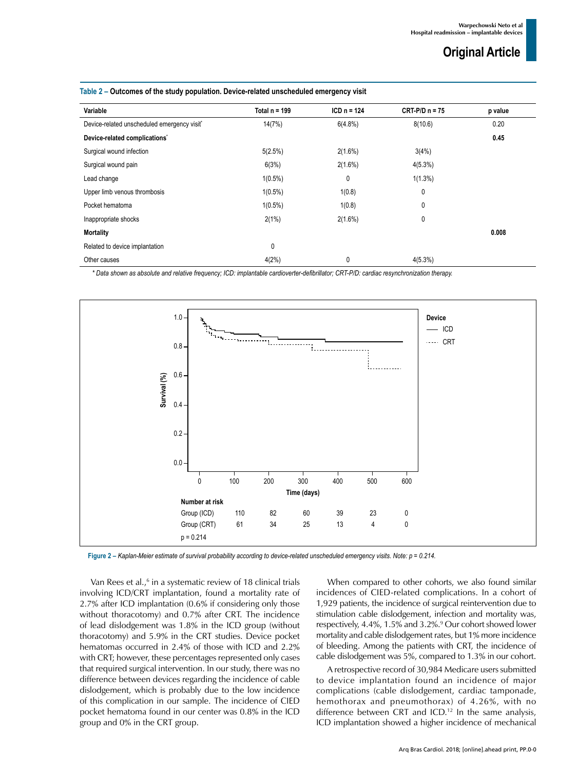| Variable                                    | Total $n = 199$ | $ICD_n = 124$ | $CRT-PD n = 75$ | p value |
|---------------------------------------------|-----------------|---------------|-----------------|---------|
| Device-related unscheduled emergency visit* | 14(7%)          | 6(4.8%)       | 8(10.6)         | 0.20    |
| Device-related complications'               |                 |               |                 | 0.45    |
| Surgical wound infection                    | 5(2.5%)         | $2(1.6\%)$    | 3(4%)           |         |
| Surgical wound pain                         | 6(3%)           | 2(1.6%)       | 4(5.3%)         |         |
| Lead change                                 | $1(0.5\%)$      | 0             | $1(1.3\%)$      |         |
| Upper limb venous thrombosis                | $1(0.5\%)$      | 1(0.8)        | $\mathbf{0}$    |         |
| Pocket hematoma                             | $1(0.5\%)$      | 1(0.8)        | 0               |         |
| Inappropriate shocks                        | 2(1%)           | $2(1.6\%)$    | 0               |         |
| Mortality                                   |                 |               |                 | 0.008   |
| Related to device implantation              | 0               |               |                 |         |
| Other causes                                | 4(2%)           | 0             | 4(5.3%)         |         |

#### **Table 2 – Outcomes of the study population. Device-related unscheduled emergency visit**

*\* Data shown as absolute and relative frequency; ICD: implantable cardioverter-defibrillator; CRT-P/D: cardiac resynchronization therapy.*



**Figure 2 –** *Kaplan-Meier estimate of survival probability according to device-related unscheduled emergency visits. Note: p = 0.214.*

Van Rees et al.,<sup>6</sup> in a systematic review of 18 clinical trials involving ICD/CRT implantation, found a mortality rate of 2.7% after ICD implantation (0.6% if considering only those without thoracotomy) and 0.7% after CRT. The incidence of lead dislodgement was 1.8% in the ICD group (without thoracotomy) and 5.9% in the CRT studies. Device pocket hematomas occurred in 2.4% of those with ICD and 2.2% with CRT; however, these percentages represented only cases that required surgical intervention. In our study, there was no difference between devices regarding the incidence of cable dislodgement, which is probably due to the low incidence of this complication in our sample. The incidence of CIED pocket hematoma found in our center was 0.8% in the ICD group and 0% in the CRT group.

When compared to other cohorts, we also found similar incidences of CIED-related complications. In a cohort of 1,929 patients, the incidence of surgical reintervention due to stimulation cable dislodgement, infection and mortality was, respectively, 4.4%, 1.5% and 3.2%.<sup>9</sup> Our cohort showed lower mortality and cable dislodgement rates, but 1% more incidence of bleeding. Among the patients with CRT, the incidence of cable dislodgement was 5%, compared to 1.3% in our cohort.

A retrospective record of 30,984 Medicare users submitted to device implantation found an incidence of major complications (cable dislodgement, cardiac tamponade, hemothorax and pneumothorax) of 4.26%, with no difference between CRT and ICD.<sup>12</sup> In the same analysis, ICD implantation showed a higher incidence of mechanical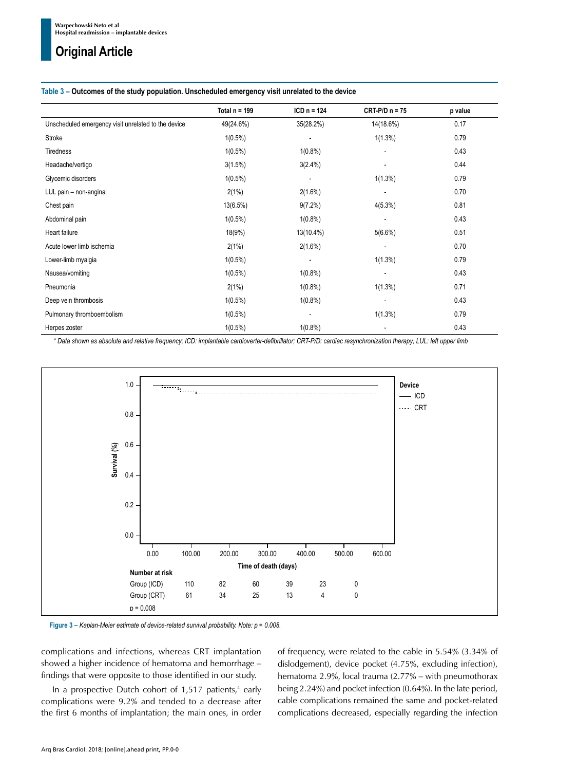#### **Table 3 – Outcomes of the study population. Unscheduled emergency visit unrelated to the device**

|                                                     | Total $n = 199$ | $ICD_n = 124$            | $CRT-P/D n = 75$         | p value |
|-----------------------------------------------------|-----------------|--------------------------|--------------------------|---------|
| Unscheduled emergency visit unrelated to the device | 49(24.6%)       | 35(28.2%)                | 14(18.6%)                | 0.17    |
| Stroke                                              | $1(0.5\%)$      | $\overline{\phantom{a}}$ | $1(1.3\%)$               | 0.79    |
| Tiredness                                           | $1(0.5\%)$      | $1(0.8\%)$               |                          | 0.43    |
| Headache/vertigo                                    | 3(1.5%)         | $3(2.4\%)$               | $\overline{\phantom{a}}$ | 0.44    |
| Glycemic disorders                                  | $1(0.5\%)$      |                          | $1(1.3\%)$               | 0.79    |
| LUL pain - non-anginal                              | 2(1%)           | $2(1.6\%)$               | $\overline{\phantom{a}}$ | 0.70    |
| Chest pain                                          | $13(6.5\%)$     | $9(7.2\%)$               | $4(5.3\%)$               | 0.81    |
| Abdominal pain                                      | $1(0.5\%)$      | $1(0.8\%)$               | $\overline{\phantom{a}}$ | 0.43    |
| Heart failure                                       | 18(9%)          | 13(10.4%)                | $5(6.6\%)$               | 0.51    |
| Acute lower limb ischemia                           | 2(1%)           | $2(1.6\%)$               |                          | 0.70    |
| Lower-limb myalgia                                  | $1(0.5\%)$      | $\overline{\phantom{a}}$ | $1(1.3\%)$               | 0.79    |
| Nausea/vomiting                                     | $1(0.5\%)$      | $1(0.8\%)$               |                          | 0.43    |
| Pneumonia                                           | 2(1%)           | $1(0.8\%)$               | $1(1.3\%)$               | 0.71    |
| Deep vein thrombosis                                | $1(0.5\%)$      | $1(0.8\%)$               |                          | 0.43    |
| Pulmonary thromboembolism                           | $1(0.5\%)$      | $\overline{\phantom{a}}$ | $1(1.3\%)$               | 0.79    |
| Herpes zoster                                       | $1(0.5\%)$      | $1(0.8\%)$               | $\overline{\phantom{a}}$ | 0.43    |

*\* Data shown as absolute and relative frequency; ICD: implantable cardioverter-defibrillator; CRT-P/D: cardiac resynchronization therapy; LUL: left upper limb*



**Figure 3 –** *Kaplan-Meier estimate of device-related survival probability. Note: p = 0.008.*

complications and infections, whereas CRT implantation showed a higher incidence of hematoma and hemorrhage – findings that were opposite to those identified in our study.

In a prospective Dutch cohort of  $1,517$  patients,<sup>4</sup> early complications were 9.2% and tended to a decrease after the first 6 months of implantation; the main ones, in order

of frequency, were related to the cable in 5.54% (3.34% of dislodgement), device pocket (4.75%, excluding infection), hematoma 2.9%, local trauma (2.77% – with pneumothorax being 2.24%) and pocket infection (0.64%). In the late period, cable complications remained the same and pocket-related complications decreased, especially regarding the infection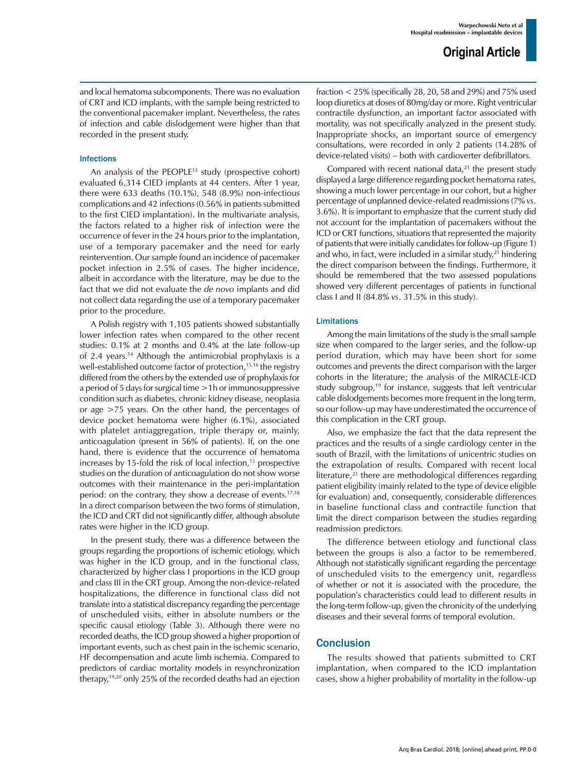and local hematoma subcomponents. There was no evaluation of CRT and ICD implants, with the sample being restricted to the conventional pacemaker implant. Nevertheless, the rates of infection and cable dislodgement were higher than that recorded in the present study.

#### Infections

An analysis of the PEOPLE<sup>13</sup> study (prospective cohort) evaluated 6,314 CIED implants at 44 centers. After 1 year, there were 633 deaths (10.1%), 548 (8.9%) non-infectious complications and 42 infections (0.56% in patients submitted to the first CIED implantation). In the multivariate analysis, the factors related to a higher risk of infection were the occurrence of fever in the 24 hours prior to the implantation, use of a temporary pacemaker and the need for early reintervention. Our sample found an incidence of pacemaker pocket infection in 2.5% of cases. The higher incidence, albeit in accordance with the literature, may be due to the fact that we did not evaluate the *de novo* implants and did not collect data regarding the use of a temporary pacemaker prior to the procedure.

A Polish registry with 1,105 patients showed substantially lower infection rates when compared to the other recent studies: 0.1% at 2 months and 0.4% at the late follow-up of 2.4 years.14 Although the antimicrobial prophylaxis is a well-established outcome factor of protection,<sup>15,16</sup> the registry differed from the others by the extended use of prophylaxis for a period of 5 days for surgical time >1h or immunosuppressive condition such as diabetes, chronic kidney disease, neoplasia or age >75 years. On the other hand, the percentages of device pocket hematoma were higher (6.1%), associated with platelet antiaggregation, triple therapy or, mainly, anticoagulation (present in 56% of patients). If, on the one hand, there is evidence that the occurrence of hematoma increases by 15-fold the risk of local infection, $13$  prospective studies on the duration of anticoagulation do not show worse outcomes with their maintenance in the peri-implantation period: on the contrary, they show a decrease of events.17,18 In a direct comparison between the two forms of stimulation, the ICD and CRT did not significantly differ, although absolute rates were higher in the ICD group.

In the present study, there was a difference between the groups regarding the proportions of ischemic etiology, which was higher in the ICD group, and in the functional class, characterized by higher class I proportions in the ICD group and class III in the CRT group. Among the non-device-related hospitalizations, the difference in functional class did not translate into a statistical discrepancy regarding the percentage of unscheduled visits, either in absolute numbers or the specific causal etiology (Table 3). Although there were no recorded deaths, the ICD group showed a higher proportion of important events, such as chest pain in the ischemic scenario, HF decompensation and acute limb ischemia. Compared to predictors of cardiac mortality models in resynchronization therapy,19,20 only 25% of the recorded deaths had an ejection fraction < 25% (specifically 28, 20, 58 and 29%) and 75% used loop diuretics at doses of 80mg/day or more. Right ventricular contractile dysfunction, an important factor associated with mortality, was not specifically analyzed in the present study. Inappropriate shocks, an important source of emergency consultations, were recorded in only 2 patients (14.28% of device-related visits) – both with cardioverter defibrillators.

Compared with recent national data, $21$  the present study displayed a large difference regarding pocket hematoma rates, showing a much lower percentage in our cohort, but a higher percentage of unplanned device-related readmissions (7% *vs*. 3.6%). It is important to emphasize that the current study did not account for the implantation of pacemakers without the ICD or CRT functions, situations that represented the majority of patients that were initially candidates for follow-up (Figure 1) and who, in fact, were included in a similar study, $21$  hindering the direct comparison between the findings. Furthermore, it should be remembered that the two assessed populations showed very different percentages of patients in functional class I and II (84.8% *vs*. 31.5% in this study).

#### Limitations

Among the main limitations of the study is the small sample size when compared to the larger series, and the follow-up period duration, which may have been short for some outcomes and prevents the direct comparison with the larger cohorts in the literature; the analysis of the MIRACLE-ICD study subgroup,<sup>19</sup> for instance, suggests that left ventricular cable dislodgements becomes more frequent in the long term, so our follow-up may have underestimated the occurrence of this complication in the CRT group.

Also, we emphasize the fact that the data represent the practices and the results of a single cardiology center in the south of Brazil, with the limitations of unicentric studies on the extrapolation of results. Compared with recent local literature, $21$  there are methodological differences regarding patient eligibility (mainly related to the type of device eligible for evaluation) and, consequently, considerable differences in baseline functional class and contractile function that limit the direct comparison between the studies regarding readmission predictors.

The difference between etiology and functional class between the groups is also a factor to be remembered. Although not statistically significant regarding the percentage of unscheduled visits to the emergency unit, regardless of whether or not it is associated with the procedure, the population's characteristics could lead to different results in the long-term follow-up, given the chronicity of the underlying diseases and their several forms of temporal evolution.

#### **Conclusion**

The results showed that patients submitted to CRT implantation, when compared to the ICD implantation cases, show a higher probability of mortality in the follow-up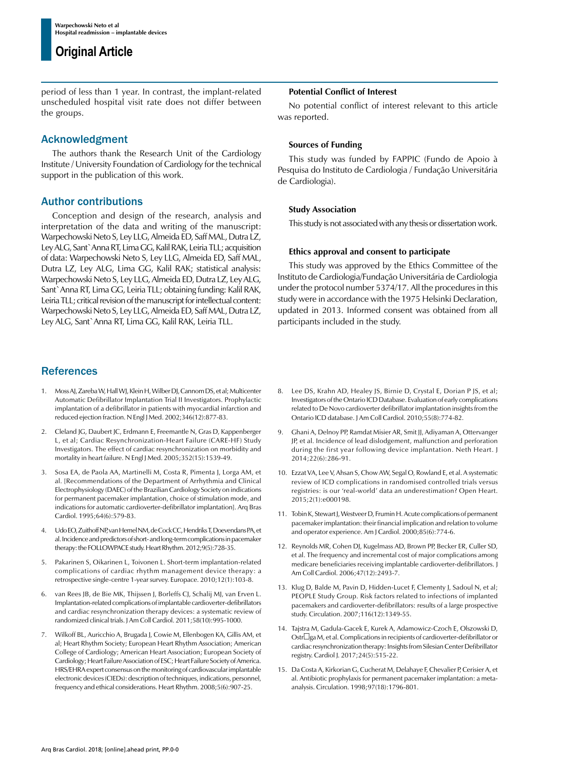period of less than 1 year. In contrast, the implant-related unscheduled hospital visit rate does not differ between the groups.

### Acknowledgment

The authors thank the Research Unit of the Cardiology Institute / University Foundation of Cardiology for the technical support in the publication of this work.

## Author contributions

Conception and design of the research, analysis and interpretation of the data and writing of the manuscript: Warpechowski Neto S, Ley LLG, Almeida ED, Saff MAL, Dutra LZ, Ley ALG, Sant`Anna RT, Lima GG, Kalil RAK, Leiria TLL; acquisition of data: Warpechowski Neto S, Ley LLG, Almeida ED, Saff MAL, Dutra LZ, Ley ALG, Lima GG, Kalil RAK; statistical analysis: Warpechowski Neto S, Ley LLG, Almeida ED, Dutra LZ, Ley ALG, Sant`Anna RT, Lima GG, Leiria TLL; obtaining funding: Kalil RAK, Leiria TLL; critical revision of the manuscript for intellectual content: Warpechowski Neto S, Ley LLG, Almeida ED, Saff MAL, Dutra LZ, Ley ALG, Sant`Anna RT, Lima GG, Kalil RAK, Leiria TLL.

## **References**

- 1. Moss AJ, Zareba W, Hall WJ, Klein H, Wilber DJ, Cannom DS, et al; Multicenter Automatic Defibrillator Implantation Trial II Investigators. Prophylactic implantation of a defibrillator in patients with myocardial infarction and reduced ejection fraction. N Engl J Med. 2002;346(12):877-83.
- 2. Cleland JG, Daubert JC, Erdmann E, Freemantle N, Gras D, Kappenberger L, et al; Cardiac Resynchronization-Heart Failure (CARE-HF) Study Investigators. The effect of cardiac resynchronization on morbidity and mortality in heart failure. N Engl J Med. 2005;352(15):1539-49.
- 3. Sosa EA, de Paola AA, Martinelli M, Costa R, Pimenta J, Lorga AM, et al. [Recommendations of the Department of Arrhythmia and Clinical Electrophysiology (DAEC) of the Brazilian Cardiology Society on indications for permanent pacemaker implantation, choice of stimulation mode, and indications for automatic cardioverter-defibrillator implantation]. Arq Bras Cardiol. 1995;64(6):579-83.
- 4. Udo EO, Zuithoff NP, van Hemel NM, de Cock CC, Hendriks T, Doevendans PA, et al. Incidence and predictors of short- and long-term complications in pacemaker therapy: the FOLLOWPACE study. Heart Rhythm. 2012;9(5):728-35.
- 5. Pakarinen S, Oikarinen L, Toivonen L. Short-term implantation-related complications of cardiac rhythm management device therapy: a retrospective single-centre 1-year survey. Europace. 2010;12(1):103-8.
- van Rees JB, de Bie MK, Thijssen J, Borleffs CJ, Schalij MJ, van Erven L. Implantation-related complications of implantable cardioverter-defibrillators and cardiac resynchronization therapy devices: a systematic review of randomized clinical trials. J Am Coll Cardiol. 2011;58(10):995-1000.
- 7. Wilkoff BL, Auricchio A, Brugada J, Cowie M, Ellenbogen KA, Gillis AM, et al; Heart Rhythm Society; European Heart Rhythm Association; American College of Cardiology; American Heart Association; European Society of Cardiology; Heart Failure Association of ESC; Heart Failure Society of America. HRS/EHRA expert consensus on the monitoring of cardiovascular implantable electronic devices (CIEDs): description of techniques, indications, personnel, frequency and ethical considerations. Heart Rhythm. 2008;5(6):907-25.

#### **Potential Conflict of Interest**

No potential conflict of interest relevant to this article was reported.

#### **Sources of Funding**

This study was funded by FAPPIC (Fundo de Apoio à Pesquisa do Instituto de Cardiologia / Fundação Universitária de Cardiologia).

#### **Study Association**

This study is not associated with any thesis or dissertation work.

#### **Ethics approval and consent to participate**

This study was approved by the Ethics Committee of the Instituto de Cardiologia/Fundação Universitária de Cardiologia under the protocol number 5374/17. All the procedures in this study were in accordance with the 1975 Helsinki Declaration, updated in 2013. Informed consent was obtained from all participants included in the study.

- 8. Lee DS, Krahn AD, Healey JS, Birnie D, Crystal E, Dorian P JS, et al; Investigators of the Ontario ICD Database. Evaluation of early complications related to De Novo cardioverter defibrillator implantation insights from the Ontario ICD database. J Am Coll Cardiol. 2010;55(8):774-82.
- 9. Ghani A, Delnoy PP, Ramdat Misier AR, Smit JJ, Adiyaman A, Ottervanger JP, et al. Incidence of lead dislodgement, malfunction and perforation during the first year following device implantation. Neth Heart. J 2014;22(6):286-91.
- 10. Ezzat VA, Lee V, Ahsan S, Chow AW, Segal O, Rowland E, et al. A systematic review of ICD complications in randomised controlled trials versus registries: is our 'real-world' data an underestimation? Open Heart. 2015;2(1):e000198.
- 11. Tobin K, Stewart J, Westveer D, Frumin H. Acute complications of permanent pacemaker implantation: their financial implication and relation to volume and operator experience. Am J Cardiol. 2000;85(6):774-6.
- 12. Reynolds MR, Cohen DJ, Kugelmass AD, Brown PP, Becker ER, Culler SD, et al. The frequency and incremental cost of major complications among medicare beneficiaries receiving implantable cardioverter-defibrillators. J Am Coll Cardiol. 2006;47(12):2493-7.
- 13. Klug D, Balde M, Pavin D, Hidden-Lucet F, Clementy J, Sadoul N, et al; PEOPLE Study Group. Risk factors related to infections of implanted pacemakers and cardioverter-defibrillators: results of a large prospective study. Circulation. 2007;116(12):1349-55.
- 14. Tajstra M, Gadula-Gacek E, Kurek A, Adamowicz-Czoch E, Olszowski D,  $Ostr$  et al. Complications in recipients of cardioverter-defibrillator or cardiac resynchronization therapy: Insights from Silesian Center Defibrillator registry. Cardiol J. 2017;24(5):515-22.
- 15. Da Costa A, Kirkorian G, Cucherat M, Delahaye F, Chevalier P, Cerisier A, et al. Antibiotic prophylaxis for permanent pacemaker implantation: a metaanalysis. Circulation. 1998;97(18):1796-801.